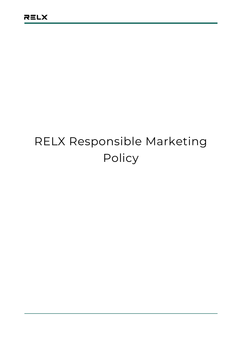# RELX Responsible Marketing Policy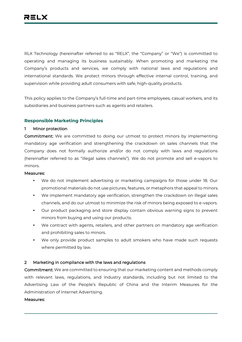RLX Technology (hereinafter referred to as "RELX", the "Company" or "We") is committed to operating and managing its business sustainably. When promoting and marketing the Company's products and services, we comply with national laws and regulations and international standards. We protect minors through effective internal control, training, and supervision while providing adult consumers with safe, high-quality products.

This policy applies to the Company's full-time and part-time employees, casual workers, and its subsidiaries and business partners such as agents and retailers.

# **Responsible Marketing Principles**

## **1 Minor protection**

**Commitment:** We are committed to doing our utmost to protect minors by implementing mandatory age verification and strengthening the crackdown on sales channels that the Company does not formally authorize and/or do not comply with laws and regulations (hereinafter referred to as "illegal sales channels"). We do not promote and sell e-vapors to minors.

#### **Measures:**

- We do not implement advertising or marketing campaigns for those under 18. Our promotional materials do not use pictures, features, or metaphors that appeal to minors.
- We implement mandatory age verification, strengthen the crackdown on illegal sales channels, and do our utmost to minimize the risk of minors being exposed to e-vapors.
- Our product packaging and store display contain obvious warning signs to prevent minors from buying and using our products.
- We contract with agents, retailers, and other partners on mandatory age verification and prohibiting sales to minors.
- We only provide product samples to adult smokers who have made such requests where permitted by law.

# **2 Marketing in compliance with the laws and regulations**

**Commitment:** We are committed to ensuring that our marketing content and methods comply with relevant laws, regulations, and industry standards, including but not limited to the Advertising Law of the People's Republic of China and the Interim Measures for the Administration of Internet Advertising.

#### **Measures:**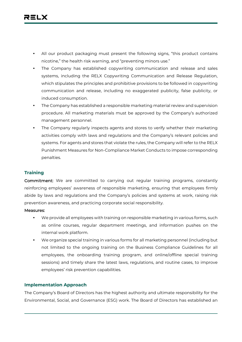- All our product packaging must present the following signs, "this product contains nicotine," the health risk warning, and "preventing minors use."
- The Company has established copywriting communication and release and sales systems, including the RELX Copywriting Communication and Release Regulation, which stipulates the principles and prohibitive provisions to be followed in copywriting communication and release, including no exaggerated publicity, false publicity, or induced consumption.
- The Company has established a responsible marketing material review and supervision procedure. All marketing materials must be approved by the Company's authorized management personnel.
- The Company regularly inspects agents and stores to verify whether their marketing activities comply with laws and regulations and the Company's relevant policies and systems. For agents and stores that violate the rules, the Company will refer to the RELX Punishment Measures for Non-Compliance Market Conducts to impose corresponding penalties.

# **Training**

**Commitment:** We are committed to carrying out regular training programs, constantly reinforcing employees' awareness of responsible marketing, ensuring that employees firmly abide by laws and regulations and the Company's policies and systems at work, raising risk prevention awareness, and practicing corporate social responsibility.

## **Measures:**

- We provide all employees with training on responsible marketing in various forms, such as online courses, regular department meetings, and information pushes on the internal work platform.
- We organize special training in various forms for all marketing personnel (including but not limited to the ongoing training on the Business Compliance Guidelines for all employees, the onboarding training program, and online/offline special training sessions) and timely share the latest laws, regulations, and routine cases, to improve employees' risk prevention capabilities.

## **Implementation Approach**

The Company's Board of Directors has the highest authority and ultimate responsibility for the Environmental, Social, and Governance (ESG) work. The Board of Directors has established an